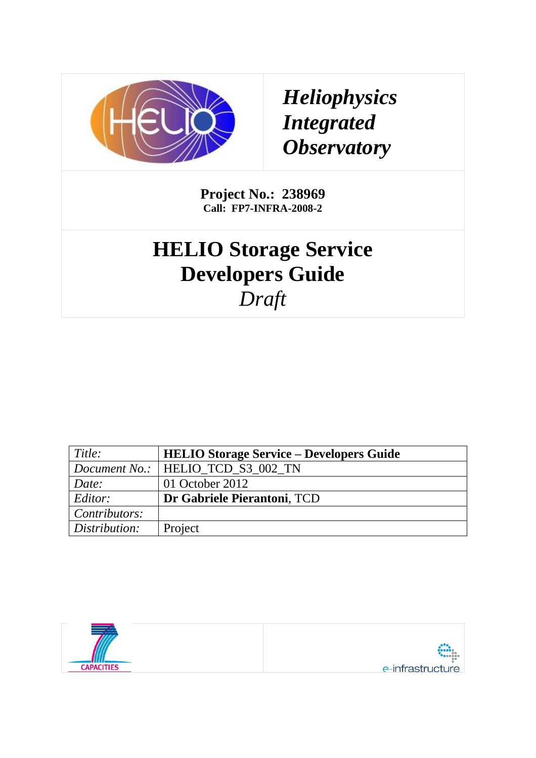

## *Heliophysics Integrated Observatory*

**Project No.: 238969 Call: FP7-INFRA-2008-2**

# **HELIO Storage Service Developers Guide** *Draft*

| Title:        | <b>HELIO Storage Service – Developers Guide</b> |
|---------------|-------------------------------------------------|
|               | <i>Document No.:</i>   HELIO TCD S3 002 TN      |
| Date:         | 01 October 2012                                 |
| Editor:       | Dr Gabriele Pierantoni, TCD                     |
| Contributors: |                                                 |
| Distribution: | Project                                         |

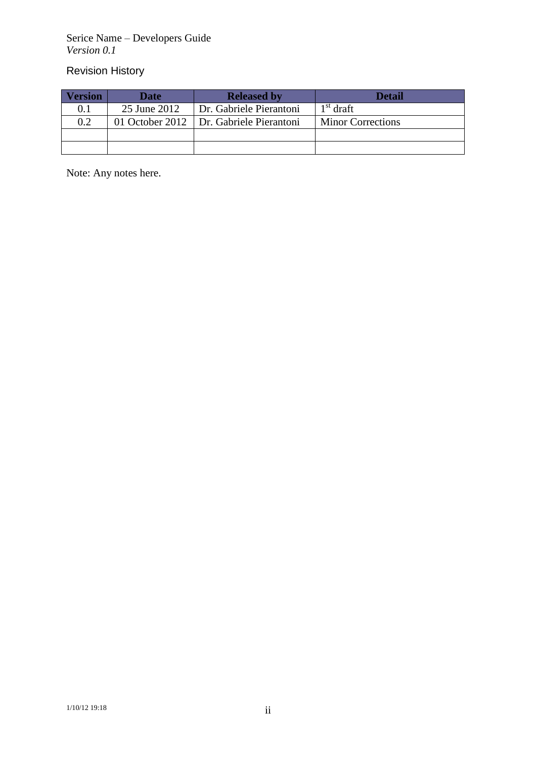Serice Name – Developers Guide *Version 0.1*

### Revision History

| <b>Version</b> | <b>Date</b>  | <b>Released by</b>                        | <b>Detail</b>            |
|----------------|--------------|-------------------------------------------|--------------------------|
| 0.1            | 25 June 2012 | Dr. Gabriele Pierantoni                   | $1st$ draft              |
| 0.2            |              | 01 October 2012   Dr. Gabriele Pierantoni | <b>Minor Corrections</b> |
|                |              |                                           |                          |
|                |              |                                           |                          |

Note: Any notes here.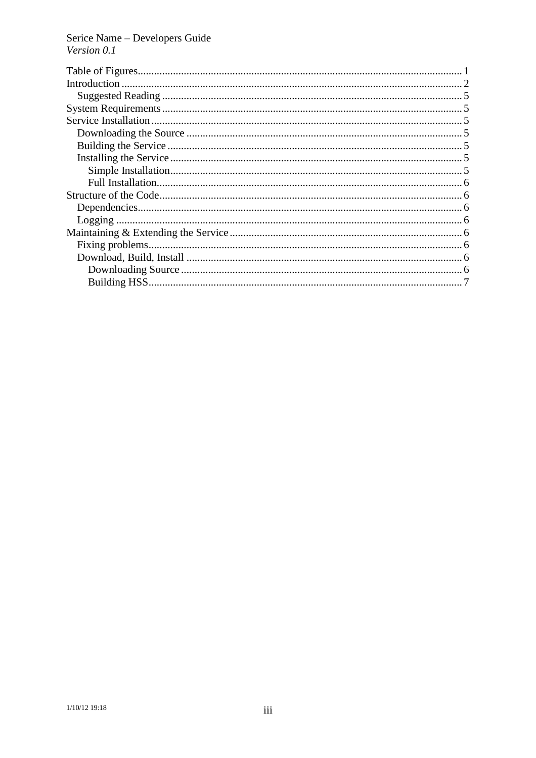Serice Name - Developers Guide<br>Version  $0.1$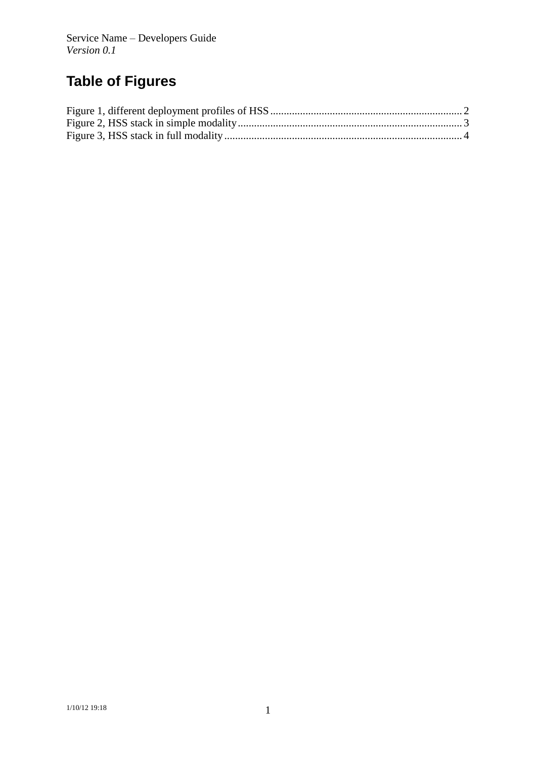## **Table of Figures**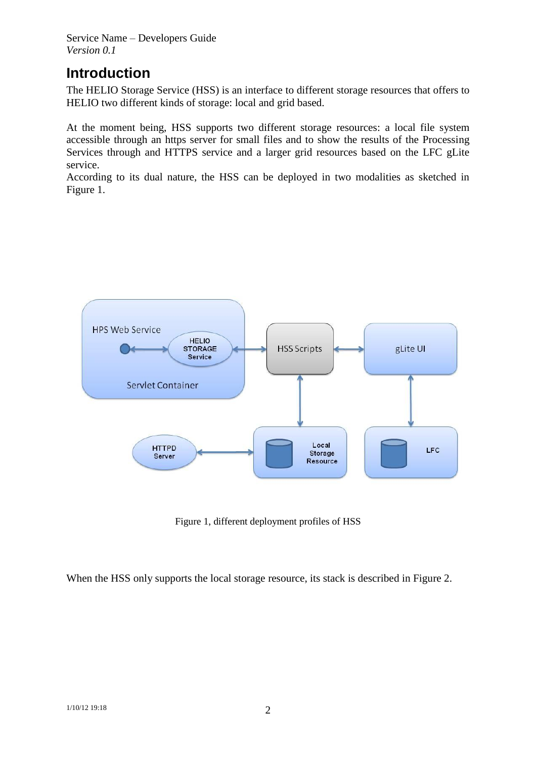Service Name – Developers Guide *Version 0.1*

## **Introduction**

The HELIO Storage Service (HSS) is an interface to different storage resources that offers to HELIO two different kinds of storage: local and grid based.

At the moment being, HSS supports two different storage resources: a local file system accessible through an https server for small files and to show the results of the Processing Services through and HTTPS service and a larger grid resources based on the LFC gLite service.

According to its dual nature, the HSS can be deployed in two modalities as sketched in [Figure 1.](#page-4-0)



Figure 1, different deployment profiles of HSS

<span id="page-4-0"></span>When the HSS only supports the local storage resource, its stack is described in [Figure 2.](#page-5-0)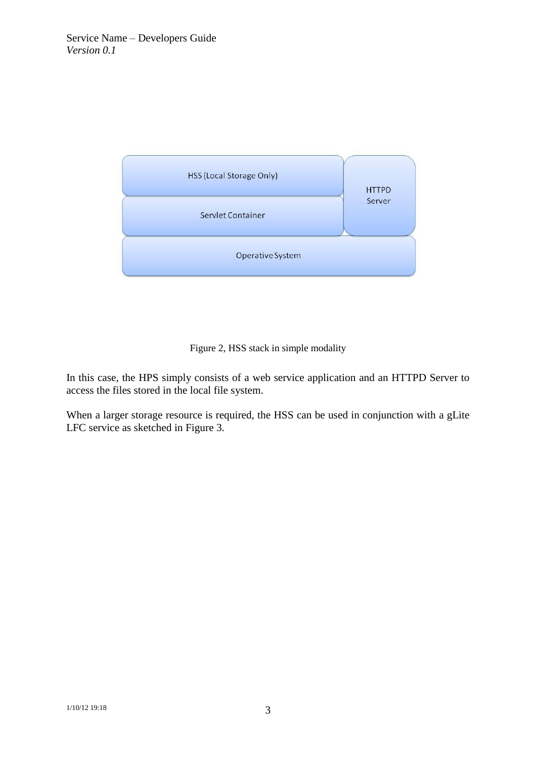

#### Figure 2, HSS stack in simple modality

<span id="page-5-0"></span>In this case, the HPS simply consists of a web service application and an HTTPD Server to access the files stored in the local file system.

When a larger storage resource is required, the HSS can be used in conjunction with a gLite LFC service as sketched in [Figure 3.](#page-6-0)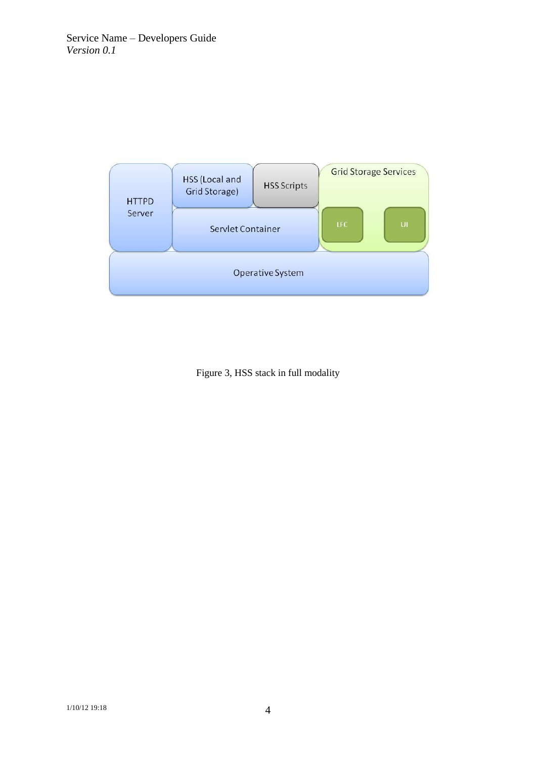

<span id="page-6-0"></span>Figure 3, HSS stack in full modality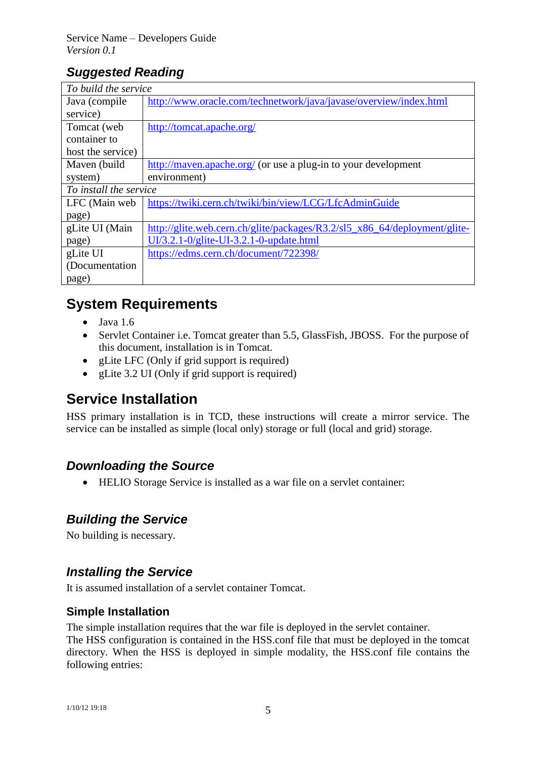## *Suggested Reading*

| To build the service   |                                                                           |  |
|------------------------|---------------------------------------------------------------------------|--|
| Java (compile)         | http://www.oracle.com/technetwork/java/javase/overview/index.html         |  |
| service)               |                                                                           |  |
| Tomcat (web            | http://tomcat.apache.org/                                                 |  |
| container to           |                                                                           |  |
| host the service)      |                                                                           |  |
| Maven (build           | http://maven.apache.org/ (or use a plug-in to your development            |  |
| system)                | environment)                                                              |  |
| To install the service |                                                                           |  |
| LFC (Main web)         | https://twiki.cern.ch/twiki/bin/view/LCG/LfcAdminGuide                    |  |
| page)                  |                                                                           |  |
| gLite UI (Main         | http://glite.web.cern.ch/glite/packages/R3.2/sl5_x86_64/deployment/glite- |  |
| page)                  | $UI/3.2.1 - O/g$ lite-UI-3.2.1-0-update.html                              |  |
| gLite UI               | https://edms.cern.ch/document/722398/                                     |  |
| (Documentation)        |                                                                           |  |
| page)                  |                                                                           |  |

## **System Requirements**

- $\bullet$  Java 1.6
- Servlet Container i.e. Tomcat greater than 5.5, GlassFish, JBOSS. For the purpose of this document, installation is in Tomcat.
- gLite LFC (Only if grid support is required)
- gLite 3.2 UI (Only if grid support is required)

## **Service Installation**

HSS primary installation is in TCD, these instructions will create a mirror service. The service can be installed as simple (local only) storage or full (local and grid) storage.

#### *Downloading the Source*

HELIO Storage Service is installed as a war file on a servlet container:

#### *Building the Service*

No building is necessary.

#### *Installing the Service*

It is assumed installation of a servlet container Tomcat.

#### **Simple Installation**

The simple installation requires that the war file is deployed in the servlet container.

The HSS configuration is contained in the HSS.conf file that must be deployed in the tomcat directory. When the HSS is deployed in simple modality, the HSS.conf file contains the following entries: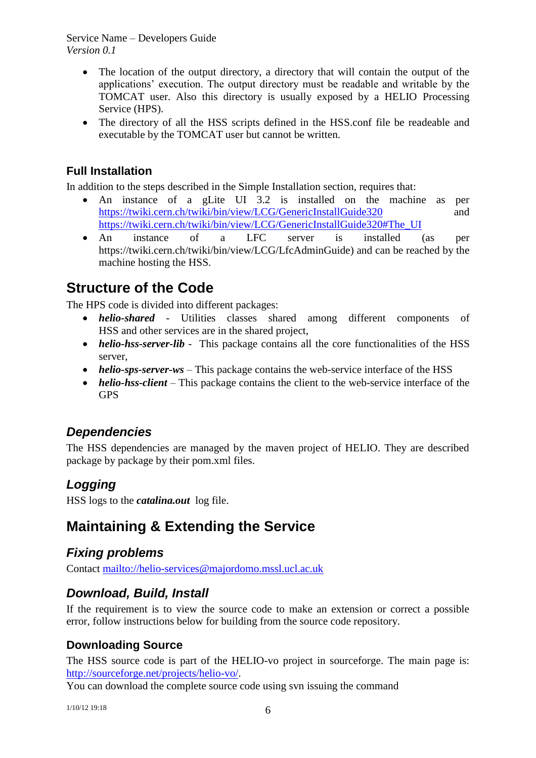Service Name – Developers Guide *Version 0.1*

- The location of the output directory, a directory that will contain the output of the applications' execution. The output directory must be readable and writable by the TOMCAT user. Also this directory is usually exposed by a HELIO Processing Service (HPS).
- The directory of all the HSS scripts defined in the HSS.conf file be readeable and executable by the TOMCAT user but cannot be written.

#### **Full Installation**

In addition to the steps described in the Simple Installation section, requires that:

- An instance of a gLite UI 3.2 is installed on the machine as per <https://twiki.cern.ch/twiki/bin/view/LCG/GenericInstallGuide320> and [https://twiki.cern.ch/twiki/bin/view/LCG/GenericInstallGuide320#The\\_UI](https://twiki.cern.ch/twiki/bin/view/LCG/GenericInstallGuide320#The_UI)
- An instance of a LFC server is installed (as per https://twiki.cern.ch/twiki/bin/view/LCG/LfcAdminGuide) and can be reached by the machine hosting the HSS.

### **Structure of the Code**

The HPS code is divided into different packages:

- *helio-shared* Utilities classes shared among different components of HSS and other services are in the shared project,
- *helio-hss-server-lib* This package contains all the core functionalities of the HSS server,
- *helio-sps-server-ws* This package contains the web-service interface of the HSS
- *helio-hss-client* This package contains the client to the web-service interface of the GPS

#### *Dependencies*

The HSS dependencies are managed by the maven project of HELIO. They are described package by package by their pom.xml files.

#### *Logging*

HSS logs to the *catalina.out* log file.

## **Maintaining & Extending the Service**

#### *Fixing problems*

Contact [mailto://helio-services@majordomo.mssl.ucl.ac.uk](mailto:helio-services@majordomo.mssl.ucl.ac.uk)

#### *Download, Build, Install*

If the requirement is to view the source code to make an extension or correct a possible error, follow instructions below for building from the source code repository.

#### **Downloading Source**

The HSS source code is part of the HELIO-vo project in sourceforge. The main page is: [http://sourceforge.net/projects/helio-vo/.](http://sourceforge.net/projects/helio-vo/)

You can download the complete source code using svn issuing the command